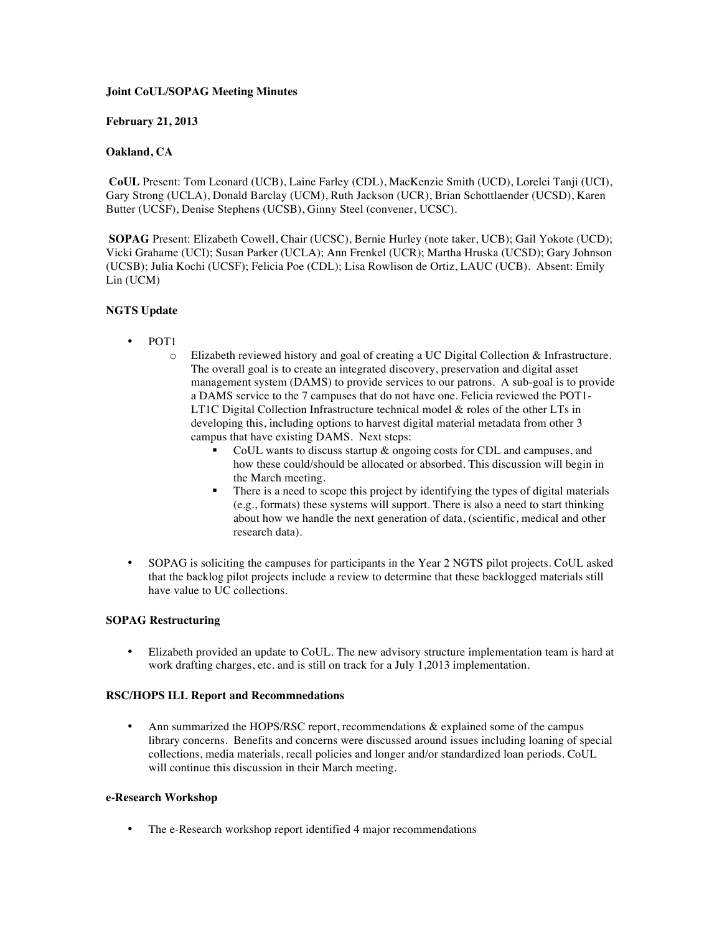## **Joint CoUL/SOPAG Meeting Minutes**

### **February 21, 2013**

# **Oakland, CA**

**CoUL** Present: Tom Leonard (UCB), Laine Farley (CDL), MacKenzie Smith (UCD), Lorelei Tanji (UCI), Gary Strong (UCLA), Donald Barclay (UCM), Ruth Jackson (UCR), Brian Schottlaender (UCSD), Karen Butter (UCSF), Denise Stephens (UCSB), Ginny Steel (convener, UCSC).

**SOPAG** Present: Elizabeth Cowell, Chair (UCSC), Bernie Hurley (note taker, UCB); Gail Yokote (UCD); Vicki Grahame (UCI); Susan Parker (UCLA); Ann Frenkel (UCR); Martha Hruska (UCSD); Gary Johnson (UCSB); Julia Kochi (UCSF); Felicia Poe (CDL); Lisa Rowlison de Ortiz, LAUC (UCB). Absent: Emily Lin (UCM)

## **NGTS Update**

- POT1
	- o Elizabeth reviewed history and goal of creating a UC Digital Collection & Infrastructure. The overall goal is to create an integrated discovery, preservation and digital asset management system (DAMS) to provide services to our patrons. A sub-goal is to provide a DAMS service to the 7 campuses that do not have one. Felicia reviewed the POT1- LT1C Digital Collection Infrastructure technical model & roles of the other LTs in developing this, including options to harvest digital material metadata from other 3 campus that have existing DAMS. Next steps:
		- CoUL wants to discuss startup & ongoing costs for CDL and campuses, and how these could/should be allocated or absorbed. This discussion will begin in the March meeting.
		- There is a need to scope this project by identifying the types of digital materials (e.g., formats) these systems will support. There is also a need to start thinking about how we handle the next generation of data, (scientific, medical and other research data).
- SOPAG is soliciting the campuses for participants in the Year 2 NGTS pilot projects. CoUL asked that the backlog pilot projects include a review to determine that these backlogged materials still have value to UC collections.

#### **SOPAG Restructuring**

• Elizabeth provided an update to CoUL. The new advisory structure implementation team is hard at work drafting charges, etc. and is still on track for a July 1,2013 implementation.

#### **RSC/HOPS ILL Report and Recommnedations**

• Ann summarized the HOPS/RSC report, recommendations & explained some of the campus library concerns. Benefits and concerns were discussed around issues including loaning of special collections, media materials, recall policies and longer and/or standardized loan periods. CoUL will continue this discussion in their March meeting.

# **e-Research Workshop**

• The e-Research workshop report identified 4 major recommendations